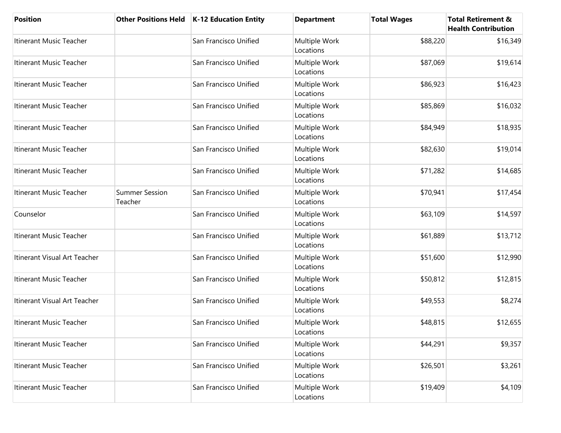| <b>Position</b>              |                                  | Other Positions Held   K-12 Education Entity | <b>Department</b>          | <b>Total Wages</b> | <b>Total Retirement &amp;</b><br><b>Health Contribution</b> |
|------------------------------|----------------------------------|----------------------------------------------|----------------------------|--------------------|-------------------------------------------------------------|
| Itinerant Music Teacher      |                                  | San Francisco Unified                        | Multiple Work<br>Locations | \$88,220           | \$16,349                                                    |
| Itinerant Music Teacher      |                                  | San Francisco Unified                        | Multiple Work<br>Locations | \$87,069           | \$19,614                                                    |
| Itinerant Music Teacher      |                                  | San Francisco Unified                        | Multiple Work<br>Locations | \$86,923           | \$16,423                                                    |
| Itinerant Music Teacher      |                                  | San Francisco Unified                        | Multiple Work<br>Locations | \$85,869           | \$16,032                                                    |
| Itinerant Music Teacher      |                                  | San Francisco Unified                        | Multiple Work<br>Locations | \$84,949           | \$18,935                                                    |
| Itinerant Music Teacher      |                                  | San Francisco Unified                        | Multiple Work<br>Locations | \$82,630           | \$19,014                                                    |
| Itinerant Music Teacher      |                                  | San Francisco Unified                        | Multiple Work<br>Locations | \$71,282           | \$14,685                                                    |
| Itinerant Music Teacher      | <b>Summer Session</b><br>Teacher | San Francisco Unified                        | Multiple Work<br>Locations | \$70,941           | \$17,454                                                    |
| Counselor                    |                                  | San Francisco Unified                        | Multiple Work<br>Locations | \$63,109           | \$14,597                                                    |
| Itinerant Music Teacher      |                                  | San Francisco Unified                        | Multiple Work<br>Locations | \$61,889           | \$13,712                                                    |
| Itinerant Visual Art Teacher |                                  | San Francisco Unified                        | Multiple Work<br>Locations | \$51,600           | \$12,990                                                    |
| Itinerant Music Teacher      |                                  | San Francisco Unified                        | Multiple Work<br>Locations | \$50,812           | \$12,815                                                    |
| Itinerant Visual Art Teacher |                                  | San Francisco Unified                        | Multiple Work<br>Locations | \$49,553           | \$8,274                                                     |
| Itinerant Music Teacher      |                                  | San Francisco Unified                        | Multiple Work<br>Locations | \$48,815           | \$12,655                                                    |
| Itinerant Music Teacher      |                                  | San Francisco Unified                        | Multiple Work<br>Locations | \$44,291           | \$9,357                                                     |
| Itinerant Music Teacher      |                                  | San Francisco Unified                        | Multiple Work<br>Locations | \$26,501           | \$3,261                                                     |
| Itinerant Music Teacher      |                                  | San Francisco Unified                        | Multiple Work<br>Locations | \$19,409           | \$4,109                                                     |